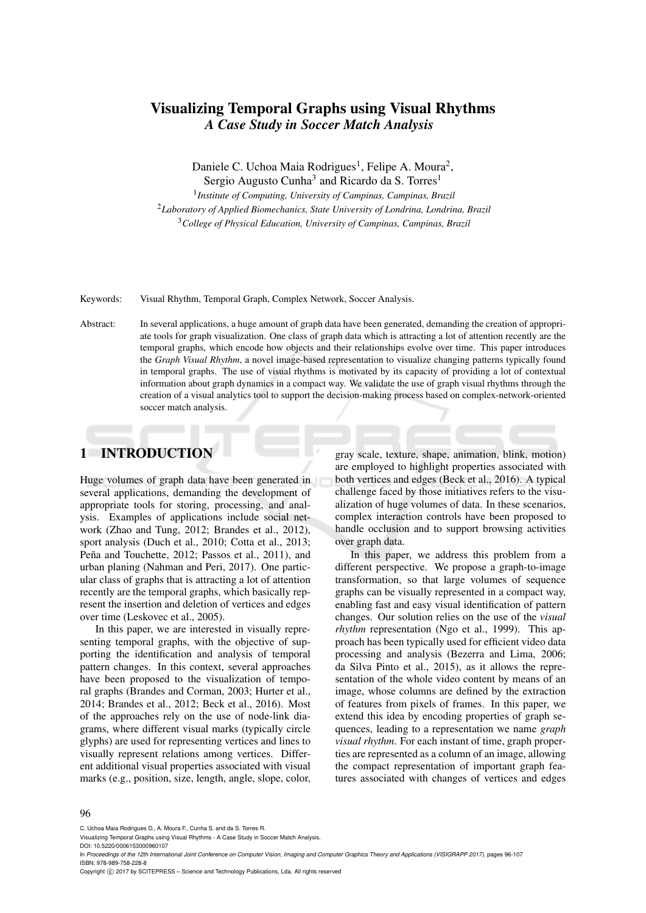# Visualizing Temporal Graphs using Visual Rhythms *A Case Study in Soccer Match Analysis*

Daniele C. Uchoa Maia Rodrigues<sup>1</sup>, Felipe A. Moura<sup>2</sup>,

Sergio Augusto Cunha<sup>3</sup> and Ricardo da S. Torres<sup>1</sup>

1 *Institute of Computing, University of Campinas, Campinas, Brazil* <sup>2</sup>*Laboratory of Applied Biomechanics, State University of Londrina, Londrina, Brazil* <sup>3</sup>*College of Physical Education, University of Campinas, Campinas, Brazil*

Keywords: Visual Rhythm, Temporal Graph, Complex Network, Soccer Analysis.

Abstract: In several applications, a huge amount of graph data have been generated, demanding the creation of appropriate tools for graph visualization. One class of graph data which is attracting a lot of attention recently are the temporal graphs, which encode how objects and their relationships evolve over time. This paper introduces the *Graph Visual Rhythm*, a novel image-based representation to visualize changing patterns typically found in temporal graphs. The use of visual rhythms is motivated by its capacity of providing a lot of contextual information about graph dynamics in a compact way. We validate the use of graph visual rhythms through the creation of a visual analytics tool to support the decision-making process based on complex-network-oriented soccer match analysis.

# 1 INTRODUCTION

Huge volumes of graph data have been generated in several applications, demanding the development of appropriate tools for storing, processing, and analysis. Examples of applications include social network (Zhao and Tung, 2012; Brandes et al., 2012), sport analysis (Duch et al., 2010; Cotta et al., 2013; Peña and Touchette, 2012; Passos et al., 2011), and urban planing (Nahman and Peri, 2017). One particular class of graphs that is attracting a lot of attention recently are the temporal graphs, which basically represent the insertion and deletion of vertices and edges over time (Leskovec et al., 2005).

In this paper, we are interested in visually representing temporal graphs, with the objective of supporting the identification and analysis of temporal pattern changes. In this context, several approaches have been proposed to the visualization of temporal graphs (Brandes and Corman, 2003; Hurter et al., 2014; Brandes et al., 2012; Beck et al., 2016). Most of the approaches rely on the use of node-link diagrams, where different visual marks (typically circle glyphs) are used for representing vertices and lines to visually represent relations among vertices. Different additional visual properties associated with visual marks (e.g., position, size, length, angle, slope, color,

gray scale, texture, shape, animation, blink, motion) are employed to highlight properties associated with both vertices and edges (Beck et al., 2016). A typical challenge faced by those initiatives refers to the visualization of huge volumes of data. In these scenarios, complex interaction controls have been proposed to handle occlusion and to support browsing activities over graph data.

In this paper, we address this problem from a different perspective. We propose a graph-to-image transformation, so that large volumes of sequence graphs can be visually represented in a compact way, enabling fast and easy visual identification of pattern changes. Our solution relies on the use of the *visual rhythm* representation (Ngo et al., 1999). This approach has been typically used for efficient video data processing and analysis (Bezerra and Lima, 2006; da Silva Pinto et al., 2015), as it allows the representation of the whole video content by means of an image, whose columns are defined by the extraction of features from pixels of frames. In this paper, we extend this idea by encoding properties of graph sequences, leading to a representation we name *graph visual rhythm*. For each instant of time, graph properties are represented as a column of an image, allowing the compact representation of important graph features associated with changes of vertices and edges

#### 96

C. Uchoa Maia Rodrigues D., A. Moura F., Cunha S. and da S. Torres R.

Visualizing Temporal Graphs using Visual Rhythms - A Case Study in Soccer Match Analysis.

DOI: 10.5220/0006153000960107

In *Proceedings of the 12th International Joint Conference on Computer Vision, Imaging and Computer Graphics Theory and Applications (VISIGRAPP 2017)*, pages 96-107 ISBN: 978-989-758-228-8

Copyright (c) 2017 by SCITEPRESS - Science and Technology Publications, Lda. All rights reserved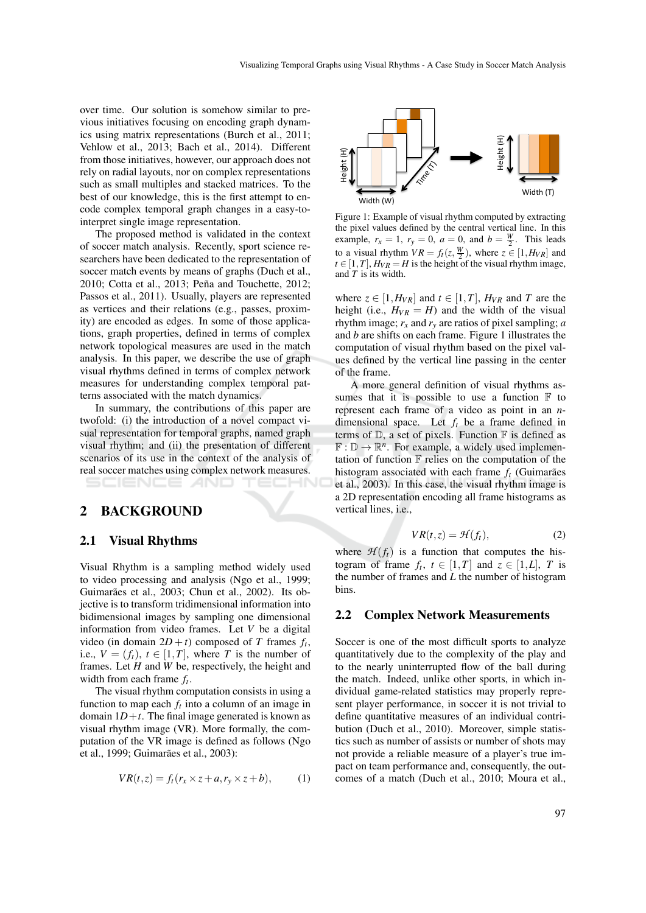over time. Our solution is somehow similar to previous initiatives focusing on encoding graph dynamics using matrix representations (Burch et al., 2011; Vehlow et al., 2013; Bach et al., 2014). Different from those initiatives, however, our approach does not rely on radial layouts, nor on complex representations such as small multiples and stacked matrices. To the best of our knowledge, this is the first attempt to encode complex temporal graph changes in a easy-tointerpret single image representation.

The proposed method is validated in the context of soccer match analysis. Recently, sport science researchers have been dedicated to the representation of soccer match events by means of graphs (Duch et al., 2010; Cotta et al., 2013; Peña and Touchette, 2012; Passos et al., 2011). Usually, players are represented as vertices and their relations (e.g., passes, proximity) are encoded as edges. In some of those applications, graph properties, defined in terms of complex network topological measures are used in the match analysis. In this paper, we describe the use of graph visual rhythms defined in terms of complex network measures for understanding complex temporal patterns associated with the match dynamics. **EXERCHIGNES CONFERENT (1)**  $\frac{1}{2}$  **F**  $\frac{1}{2}$  **F EXERCHIGNER (1)**  $\frac{1}{2}$  **F**  $\frac{1}{2}$  **F**  $\frac{1}{2}$  **F**  $\frac{1}{2}$  **F**  $\frac{1}{2}$  **F**  $\frac{1}{2}$  **F**  $\frac{1}{2}$  **F**  $\frac{1}{2}$  **F**  $\frac{1}{2}$  **F**  $\frac{1}{2}$  **F**  $\frac{1}{2$ 

In summary, the contributions of this paper are twofold: (i) the introduction of a novel compact visual representation for temporal graphs, named graph visual rhythm; and (ii) the presentation of different scenarios of its use in the context of the analysis of real soccer matches using complex network measures.

## 2 BACKGROUND

#### 2.1 Visual Rhythms

Visual Rhythm is a sampling method widely used to video processing and analysis (Ngo et al., 1999; Guimarães et al., 2003; Chun et al., 2002). Its objective is to transform tridimensional information into bidimensional images by sampling one dimensional information from video frames. Let *V* be a digital video (in domain  $2D + t$ ) composed of *T* frames  $f_t$ , i.e.,  $V = (f_t)$ ,  $t \in [1, T]$ , where *T* is the number of frames. Let *H* and *W* be, respectively, the height and width from each frame *f<sup>t</sup>* .

The visual rhythm computation consists in using a function to map each  $f_t$  into a column of an image in domain  $1D + t$ . The final image generated is known as visual rhythm image (VR). More formally, the computation of the VR image is defined as follows (Ngo et al., 1999; Guimarães et al., 2003):

$$
VR(t, z) = f_t(r_x \times z + a, r_y \times z + b), \qquad (1)
$$



Figure 1: Example of visual rhythm computed by extracting the pixel values defined by the central vertical line. In this example,  $r_x = 1$ ,  $r_y = 0$ ,  $a = 0$ , and  $b = \frac{W}{2}$ . This leads to a visual rhythm  $VR = f_t(z, \frac{W}{2})$ , where  $z \in [1, H_{VR}]$  and  $t \in [1, T]$ ,  $H_{VR} = H$  is the height of the visual rhythm image, and *T* is its width.

where  $z \in [1, H_{VR}]$  and  $t \in [1, T]$ ,  $H_{VR}$  and *T* are the height (i.e.,  $H_{VR} = H$ ) and the width of the visual rhythm image;  $r_x$  and  $r_y$  are ratios of pixel sampling; *a* and *b* are shifts on each frame. Figure 1 illustrates the computation of visual rhythm based on the pixel values defined by the vertical line passing in the center of the frame.

A more general definition of visual rhythms assumes that it is possible to use a function  $\mathbb F$  to represent each frame of a video as point in an *n*dimensional space. Let *f<sup>t</sup>* be a frame defined in terms of  $\mathbb{D}$ , a set of pixels. Function  $\mathbb{F}$  is defined as  $\mathbb{F}: \mathbb{D} \to \mathbb{R}^n$ . For example, a widely used implementation of function  $\mathbb F$  relies on the computation of the histogram associated with each frame  $f_t$  (Guimarães et al., 2003). In this case, the visual rhythm image is a 2D representation encoding all frame histograms as vertical lines, i.e.,

$$
VR(t,z) = \mathcal{H}(f_t),\tag{2}
$$

where  $\mathcal{H}(f_t)$  is a function that computes the histogram of frame  $f_t$ ,  $t \in [1, T]$  and  $z \in [1, L]$ , *T* is the number of frames and *L* the number of histogram bins.

#### 2.2 Complex Network Measurements

Soccer is one of the most difficult sports to analyze quantitatively due to the complexity of the play and to the nearly uninterrupted flow of the ball during the match. Indeed, unlike other sports, in which individual game-related statistics may properly represent player performance, in soccer it is not trivial to define quantitative measures of an individual contribution (Duch et al., 2010). Moreover, simple statistics such as number of assists or number of shots may not provide a reliable measure of a player's true impact on team performance and, consequently, the outcomes of a match (Duch et al., 2010; Moura et al.,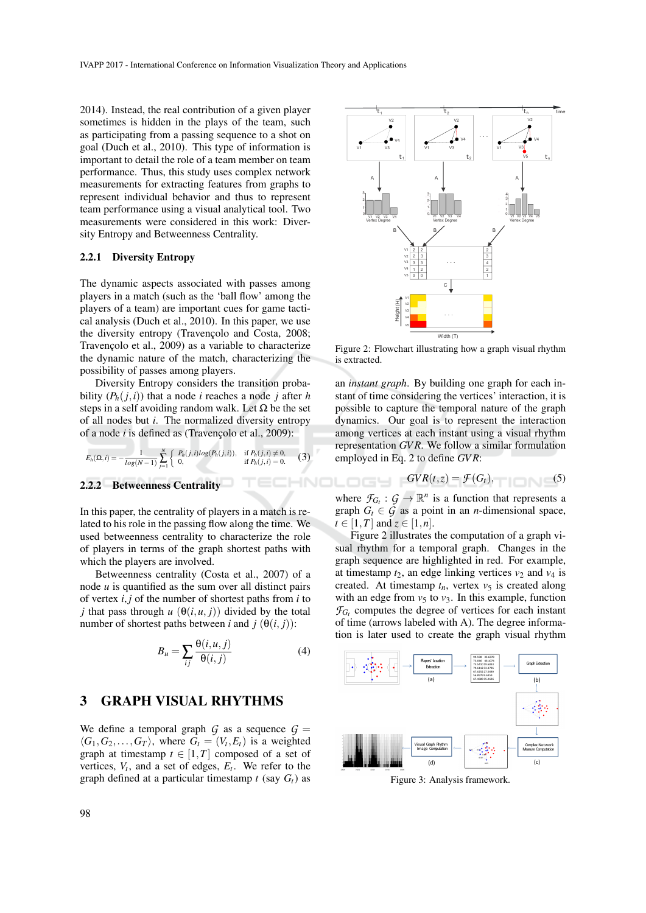2014). Instead, the real contribution of a given player sometimes is hidden in the plays of the team, such as participating from a passing sequence to a shot on goal (Duch et al., 2010). This type of information is important to detail the role of a team member on team performance. Thus, this study uses complex network measurements for extracting features from graphs to represent individual behavior and thus to represent team performance using a visual analytical tool. Two measurements were considered in this work: Diversity Entropy and Betweenness Centrality.

#### 2.2.1 Diversity Entropy

The dynamic aspects associated with passes among players in a match (such as the 'ball flow' among the players of a team) are important cues for game tactical analysis (Duch et al., 2010). In this paper, we use the diversity entropy (Travençolo and Costa, 2008; Travençolo et al., 2009) as a variable to characterize the dynamic nature of the match, characterizing the possibility of passes among players.

Diversity Entropy considers the transition probability  $(P_h(j, i))$  that a node *i* reaches a node *j* after *h* steps in a self avoiding random walk. Let  $\Omega$  be the set of all nodes but *i*. The normalized diversity entropy of a node *i* is defined as (Travençolo et al., 2009):

$$
E_h(\Omega, i) = -\frac{1}{\log(N-1)} \sum_{j=1}^N \begin{cases} P_h(j,i) \log(P_h(j,i)), & \text{if } P_h(j,i) \neq 0, \\ 0, & \text{if } P_h(j,i) = 0. \end{cases}
$$
 (3)

### 2.2.2 Betweenness Centrality

In this paper, the centrality of players in a match is related to his role in the passing flow along the time. We used betweenness centrality to characterize the role of players in terms of the graph shortest paths with which the players are involved.

Betweenness centrality (Costa et al., 2007) of a node *u* is quantified as the sum over all distinct pairs of vertex *i*, *j* of the number of shortest paths from *i* to *j* that pass through  $u(\theta(i, u, j))$  divided by the total number of shortest paths between *i* and  $j(\theta(i, j))$ :

$$
B_u = \sum_{ij} \frac{\Theta(i, u, j)}{\Theta(i, j)}\tag{4}
$$

## 3 GRAPH VISUAL RHYTHMS

We define a temporal graph  $G$  as a sequence  $G =$  $\langle G_1, G_2, \ldots, G_T \rangle$ , where  $G_t = (V_t, E_t)$  is a weighted graph at timestamp  $t \in [1, T]$  composed of a set of vertices,  $V_t$ , and a set of edges,  $E_t$ . We refer to the graph defined at a particular timestamp  $t$  (say  $G_t$ ) as



Figure 2: Flowchart illustrating how a graph visual rhythm is extracted.

an *instant graph*. By building one graph for each instant of time considering the vertices' interaction, it is possible to capture the temporal nature of the graph dynamics. Our goal is to represent the interaction among vertices at each instant using a visual rhythm representation *GV R*. We follow a similar formulation employed in Eq. 2 to define *GV R*:

$$
GVR(t,z) = \mathcal{F}(G_t),\tag{5}
$$

where  $\mathcal{F}_{G_t}$ :  $\mathcal{G} \to \mathbb{R}^n$  is a function that represents a graph  $G_t \in \mathcal{G}$  as a point in an *n*-dimensional space,  $t \in [1, T]$  and  $z \in [1, n]$ .

HNOLOGY

Figure 2 illustrates the computation of a graph visual rhythm for a temporal graph. Changes in the graph sequence are highlighted in red. For example, at timestamp  $t_2$ , an edge linking vertices  $v_2$  and  $v_4$  is created. At timestamp  $t_n$ , vertex  $v_5$  is created along with an edge from  $v_5$  to  $v_3$ . In this example, function  $\mathcal{F}_{G_t}$  computes the degree of vertices for each instant of time (arrows labeled with A). The degree information is later used to create the graph visual rhythm



Figure 3: Analysis framework.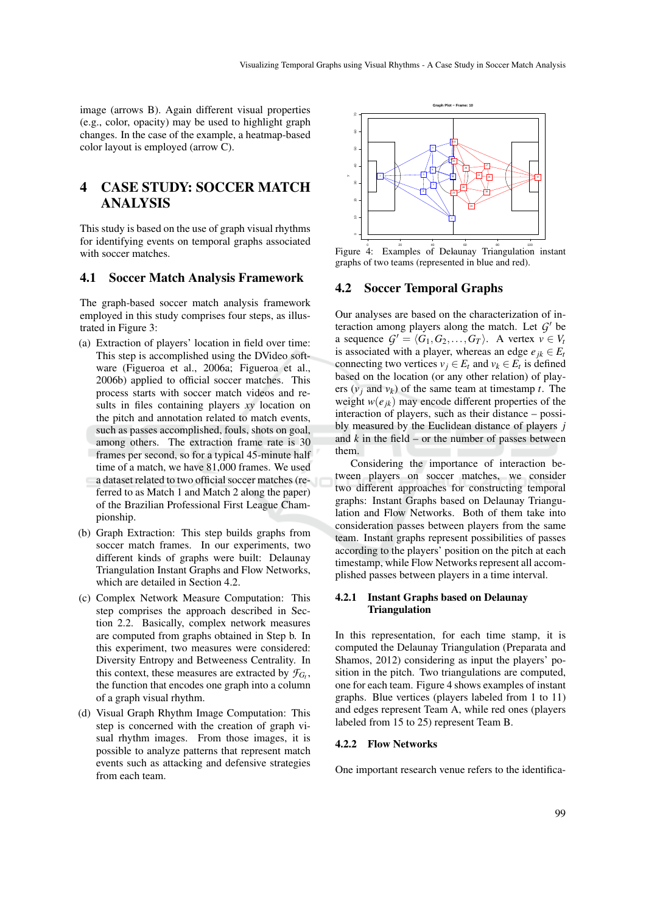image (arrows B). Again different visual properties (e.g., color, opacity) may be used to highlight graph changes. In the case of the example, a heatmap-based color layout is employed (arrow C).

# 4 CASE STUDY: SOCCER MATCH ANALYSIS

This study is based on the use of graph visual rhythms for identifying events on temporal graphs associated with soccer matches.

## 4.1 Soccer Match Analysis Framework

The graph-based soccer match analysis framework employed in this study comprises four steps, as illustrated in Figure 3:

- (a) Extraction of players' location in field over time: This step is accomplished using the DVideo software (Figueroa et al., 2006a; Figueroa et al., 2006b) applied to official soccer matches. This process starts with soccer match videos and results in files containing players *xy* location on the pitch and annotation related to match events, such as passes accomplished, fouls, shots on goal, among others. The extraction frame rate is 30 frames per second, so for a typical 45-minute half time of a match, we have 81,000 frames. We used a dataset related to two official soccer matches (referred to as Match 1 and Match 2 along the paper) of the Brazilian Professional First League Championship.
- (b) Graph Extraction: This step builds graphs from soccer match frames. In our experiments, two different kinds of graphs were built: Delaunay Triangulation Instant Graphs and Flow Networks, which are detailed in Section 4.2.
- (c) Complex Network Measure Computation: This step comprises the approach described in Section 2.2. Basically, complex network measures are computed from graphs obtained in Step b. In this experiment, two measures were considered: Diversity Entropy and Betweeness Centrality. In this context, these measures are extracted by  $\mathcal{F}_{G_t}$ , the function that encodes one graph into a column of a graph visual rhythm.
- (d) Visual Graph Rhythm Image Computation: This step is concerned with the creation of graph visual rhythm images. From those images, it is possible to analyze patterns that represent match events such as attacking and defensive strategies from each team.



Figure 4: Examples of Delaunay Triangulation instant graphs of two teams (represented in blue and red).

#### 4.2 Soccer Temporal Graphs

Our analyses are based on the characterization of interaction among players along the match. Let  $G'$  be a sequence  $G' = \langle G_1, G_2, \ldots, G_T \rangle$ . A vertex  $v \in V_t$ is associated with a player, whereas an edge  $e_{ik} \in E_t$ connecting two vertices  $v_j \in E_t$  and  $v_k \in E_t$  is defined based on the location (or any other relation) of players  $(v_i$  and  $v_k$ ) of the same team at timestamp *t*. The weight  $w(e_{ik})$  may encode different properties of the interaction of players, such as their distance – possibly measured by the Euclidean distance of players *j* and  $k$  in the field – or the number of passes between them.

Considering the importance of interaction between players on soccer matches, we consider two different approaches for constructing temporal graphs: Instant Graphs based on Delaunay Triangulation and Flow Networks. Both of them take into consideration passes between players from the same team. Instant graphs represent possibilities of passes according to the players' position on the pitch at each timestamp, while Flow Networks represent all accomplished passes between players in a time interval.

#### 4.2.1 Instant Graphs based on Delaunay **Triangulation**

In this representation, for each time stamp, it is computed the Delaunay Triangulation (Preparata and Shamos, 2012) considering as input the players' position in the pitch. Two triangulations are computed, one for each team. Figure 4 shows examples of instant graphs. Blue vertices (players labeled from 1 to 11) and edges represent Team A, while red ones (players labeled from 15 to 25) represent Team B.

#### 4.2.2 Flow Networks

One important research venue refers to the identifica-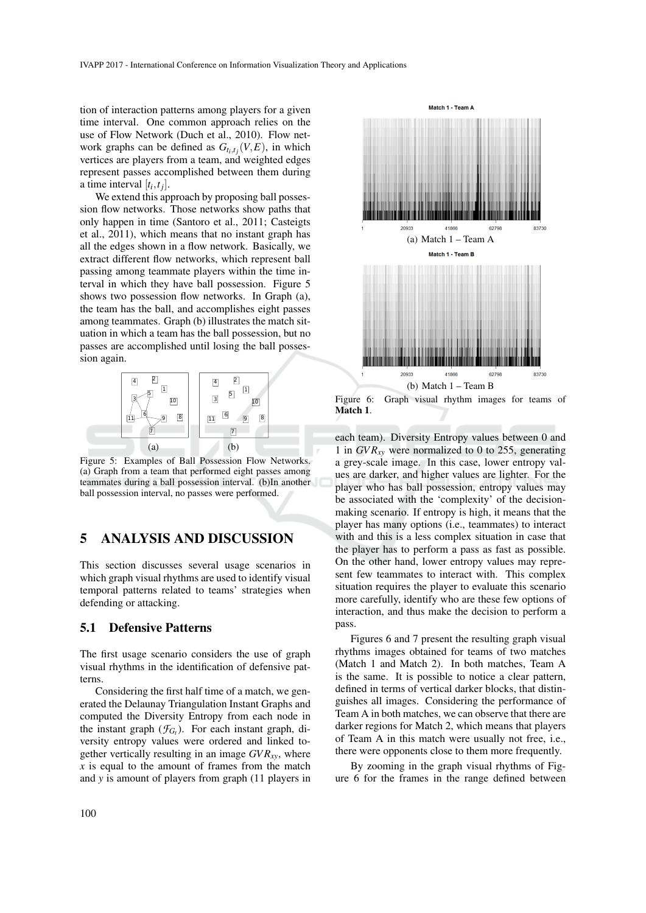tion of interaction patterns among players for a given time interval. One common approach relies on the use of Flow Network (Duch et al., 2010). Flow network graphs can be defined as  $G_{t_i,t_j}(V,E)$ , in which vertices are players from a team, and weighted edges represent passes accomplished between them during a time interval  $[t_i, t_j]$ .

We extend this approach by proposing ball possession flow networks. Those networks show paths that only happen in time (Santoro et al., 2011; Casteigts et al., 2011), which means that no instant graph has all the edges shown in a flow network. Basically, we extract different flow networks, which represent ball passing among teammate players within the time interval in which they have ball possession. Figure 5 shows two possession flow networks. In Graph (a), the team has the ball, and accomplishes eight passes among teammates. Graph (b) illustrates the match situation in which a team has the ball possession, but no passes are accomplished until losing the ball possession again.



Figure 5: Examples of Ball Possession Flow Networks. (a) Graph from a team that performed eight passes among teammates during a ball possession interval. (b)In another ball possession interval, no passes were performed.

## 5 ANALYSIS AND DISCUSSION

This section discusses several usage scenarios in which graph visual rhythms are used to identify visual temporal patterns related to teams' strategies when defending or attacking.

#### 5.1 Defensive Patterns

The first usage scenario considers the use of graph visual rhythms in the identification of defensive patterns.

Considering the first half time of a match, we generated the Delaunay Triangulation Instant Graphs and computed the Diversity Entropy from each node in the instant graph  $(\mathcal{F}_{G_t})$ . For each instant graph, diversity entropy values were ordered and linked together vertically resulting in an image  $GVR_{xy}$ , where *x* is equal to the amount of frames from the match and *y* is amount of players from graph (11 players in



Match 1.

each team). Diversity Entropy values between 0 and 1 in *GV Rxy* were normalized to 0 to 255, generating a grey-scale image. In this case, lower entropy values are darker, and higher values are lighter. For the player who has ball possession, entropy values may be associated with the 'complexity' of the decisionmaking scenario. If entropy is high, it means that the player has many options (i.e., teammates) to interact with and this is a less complex situation in case that the player has to perform a pass as fast as possible. On the other hand, lower entropy values may represent few teammates to interact with. This complex situation requires the player to evaluate this scenario more carefully, identify who are these few options of interaction, and thus make the decision to perform a pass.

Figures 6 and 7 present the resulting graph visual rhythms images obtained for teams of two matches (Match 1 and Match 2). In both matches, Team A is the same. It is possible to notice a clear pattern, defined in terms of vertical darker blocks, that distinguishes all images. Considering the performance of Team A in both matches, we can observe that there are darker regions for Match 2, which means that players of Team A in this match were usually not free, i.e., there were opponents close to them more frequently.

By zooming in the graph visual rhythms of Figure 6 for the frames in the range defined between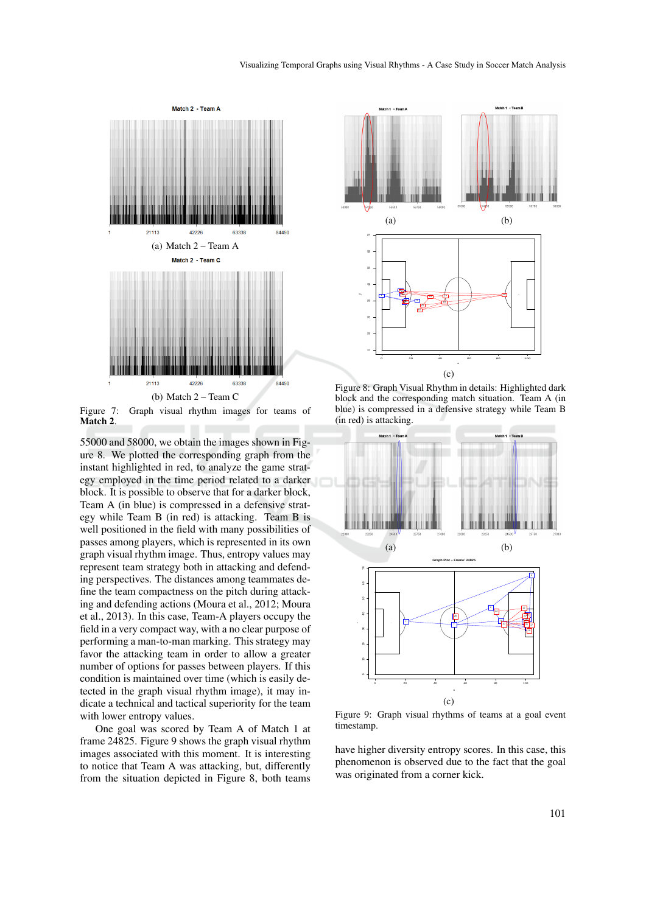

Figure 7: Graph visual rhythm images for teams of Match<sub>2</sub>.

55000 and 58000, we obtain the images shown in Figure 8. We plotted the corresponding graph from the instant highlighted in red, to analyze the game strategy employed in the time period related to a darker block. It is possible to observe that for a darker block, Team A (in blue) is compressed in a defensive strategy while Team B (in red) is attacking. Team B is well positioned in the field with many possibilities of passes among players, which is represented in its own graph visual rhythm image. Thus, entropy values may represent team strategy both in attacking and defending perspectives. The distances among teammates define the team compactness on the pitch during attacking and defending actions (Moura et al., 2012; Moura et al., 2013). In this case, Team-A players occupy the field in a very compact way, with a no clear purpose of performing a man-to-man marking. This strategy may favor the attacking team in order to allow a greater number of options for passes between players. If this condition is maintained over time (which is easily detected in the graph visual rhythm image), it may indicate a technical and tactical superiority for the team with lower entropy values.

One goal was scored by Team A of Match 1 at frame 24825. Figure 9 shows the graph visual rhythm images associated with this moment. It is interesting to notice that Team A was attacking, but, differently from the situation depicted in Figure 8, both teams



Figure 8: Graph Visual Rhythm in details: Highlighted dark block and the corresponding match situation. Team A (in blue) is compressed in a defensive strategy while Team B (in red) is attacking.



Figure 9: Graph visual rhythms of teams at a goal event timestamp.

have higher diversity entropy scores. In this case, this phenomenon is observed due to the fact that the goal was originated from a corner kick.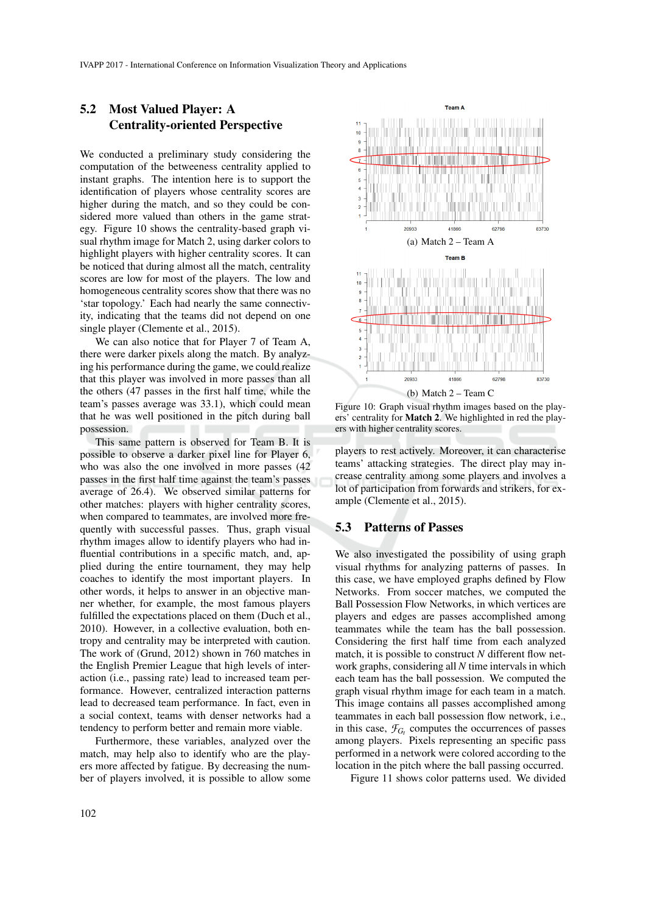## 5.2 Most Valued Player: A Centrality-oriented Perspective

We conducted a preliminary study considering the computation of the betweeness centrality applied to instant graphs. The intention here is to support the identification of players whose centrality scores are higher during the match, and so they could be considered more valued than others in the game strategy. Figure 10 shows the centrality-based graph visual rhythm image for Match 2, using darker colors to highlight players with higher centrality scores. It can be noticed that during almost all the match, centrality scores are low for most of the players. The low and homogeneous centrality scores show that there was no 'star topology.' Each had nearly the same connectivity, indicating that the teams did not depend on one single player (Clemente et al., 2015).

We can also notice that for Player 7 of Team A, there were darker pixels along the match. By analyzing his performance during the game, we could realize that this player was involved in more passes than all the others (47 passes in the first half time, while the team's passes average was 33.1), which could mean that he was well positioned in the pitch during ball possession.

This same pattern is observed for Team B. It is possible to observe a darker pixel line for Player 6, who was also the one involved in more passes (42 passes in the first half time against the team's passes average of 26.4). We observed similar patterns for other matches: players with higher centrality scores, when compared to teammates, are involved more frequently with successful passes. Thus, graph visual rhythm images allow to identify players who had influential contributions in a specific match, and, applied during the entire tournament, they may help coaches to identify the most important players. In other words, it helps to answer in an objective manner whether, for example, the most famous players fulfilled the expectations placed on them (Duch et al., 2010). However, in a collective evaluation, both entropy and centrality may be interpreted with caution. The work of (Grund, 2012) shown in 760 matches in the English Premier League that high levels of interaction (i.e., passing rate) lead to increased team performance. However, centralized interaction patterns lead to decreased team performance. In fact, even in a social context, teams with denser networks had a tendency to perform better and remain more viable.

Furthermore, these variables, analyzed over the match, may help also to identify who are the players more affected by fatigue. By decreasing the number of players involved, it is possible to allow some



Figure 10: Graph visual rhythm images based on the players' centrality for Match 2. We highlighted in red the players with higher centrality scores.

players to rest actively. Moreover, it can characterise teams' attacking strategies. The direct play may increase centrality among some players and involves a lot of participation from forwards and strikers, for example (Clemente et al., 2015).

## 5.3 Patterns of Passes

We also investigated the possibility of using graph visual rhythms for analyzing patterns of passes. In this case, we have employed graphs defined by Flow Networks. From soccer matches, we computed the Ball Possession Flow Networks, in which vertices are players and edges are passes accomplished among teammates while the team has the ball possession. Considering the first half time from each analyzed match, it is possible to construct *N* different flow network graphs, considering all *N* time intervals in which each team has the ball possession. We computed the graph visual rhythm image for each team in a match. This image contains all passes accomplished among teammates in each ball possession flow network, i.e., in this case,  $\mathcal{F}_{G_t}$  computes the occurrences of passes among players. Pixels representing an specific pass performed in a network were colored according to the location in the pitch where the ball passing occurred.

Figure 11 shows color patterns used. We divided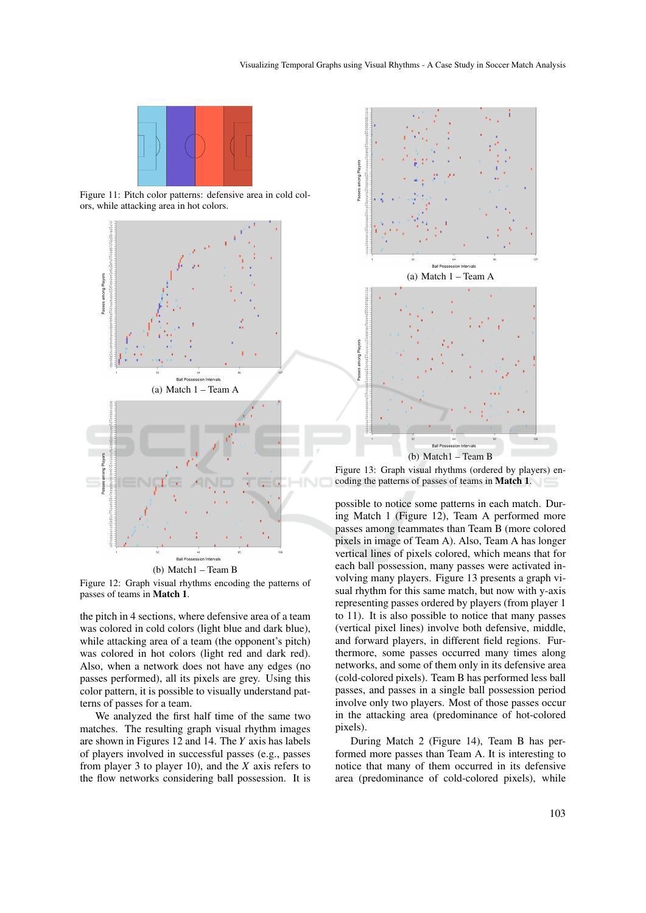

Figure 11: Pitch color patterns: defensive area in cold colors, while attacking area in hot colors.



Figure 12: Graph visual rhythms encoding the patterns of

passes of teams in Match 1.

the pitch in 4 sections, where defensive area of a team was colored in cold colors (light blue and dark blue), while attacking area of a team (the opponent's pitch) was colored in hot colors (light red and dark red). Also, when a network does not have any edges (no passes performed), all its pixels are grey. Using this color pattern, it is possible to visually understand patterns of passes for a team.

We analyzed the first half time of the same two matches. The resulting graph visual rhythm images are shown in Figures 12 and 14. The *Y* axis has labels of players involved in successful passes (e.g., passes from player 3 to player 10), and the *X* axis refers to the flow networks considering ball possession. It is



Figure 13: Graph visual rhythms (ordered by players) encoding the patterns of passes of teams in Match 1.

possible to notice some patterns in each match. During Match 1 (Figure 12), Team A performed more passes among teammates than Team B (more colored pixels in image of Team A). Also, Team A has longer vertical lines of pixels colored, which means that for each ball possession, many passes were activated involving many players. Figure 13 presents a graph visual rhythm for this same match, but now with y-axis representing passes ordered by players (from player 1 to 11). It is also possible to notice that many passes (vertical pixel lines) involve both defensive, middle, and forward players, in different field regions. Furthermore, some passes occurred many times along networks, and some of them only in its defensive area (cold-colored pixels). Team B has performed less ball passes, and passes in a single ball possession period involve only two players. Most of those passes occur in the attacking area (predominance of hot-colored pixels).

During Match 2 (Figure 14), Team B has performed more passes than Team A. It is interesting to notice that many of them occurred in its defensive area (predominance of cold-colored pixels), while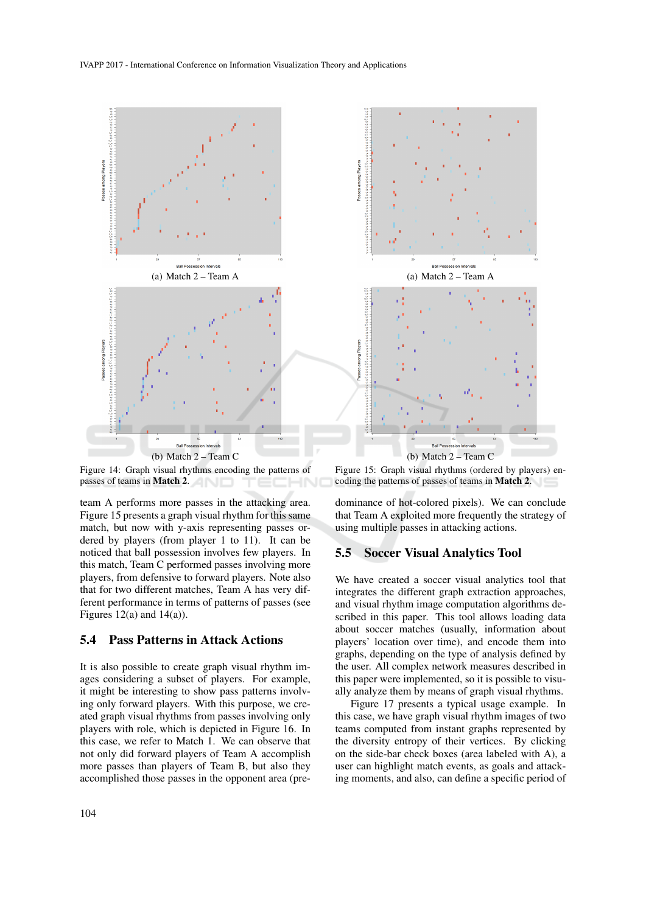

Figure 14: Graph visual rhythms encoding the patterns of passes of teams in **Match 2.** 

team A performs more passes in the attacking area. Figure 15 presents a graph visual rhythm for this same match, but now with y-axis representing passes ordered by players (from player 1 to 11). It can be noticed that ball possession involves few players. In this match, Team C performed passes involving more players, from defensive to forward players. Note also that for two different matches, Team A has very different performance in terms of patterns of passes (see Figures  $12(a)$  and  $14(a)$ ).

## 5.4 Pass Patterns in Attack Actions

It is also possible to create graph visual rhythm images considering a subset of players. For example, it might be interesting to show pass patterns involving only forward players. With this purpose, we created graph visual rhythms from passes involving only players with role, which is depicted in Figure 16. In this case, we refer to Match 1. We can observe that not only did forward players of Team A accomplish more passes than players of Team B, but also they accomplished those passes in the opponent area (pre-



Figure 15: Graph visual rhythms (ordered by players) encoding the patterns of passes of teams in Match 2.

dominance of hot-colored pixels). We can conclude that Team A exploited more frequently the strategy of using multiple passes in attacking actions.

## 5.5 Soccer Visual Analytics Tool

We have created a soccer visual analytics tool that integrates the different graph extraction approaches, and visual rhythm image computation algorithms described in this paper. This tool allows loading data about soccer matches (usually, information about players' location over time), and encode them into graphs, depending on the type of analysis defined by the user. All complex network measures described in this paper were implemented, so it is possible to visually analyze them by means of graph visual rhythms.

Figure 17 presents a typical usage example. In this case, we have graph visual rhythm images of two teams computed from instant graphs represented by the diversity entropy of their vertices. By clicking on the side-bar check boxes (area labeled with A), a user can highlight match events, as goals and attacking moments, and also, can define a specific period of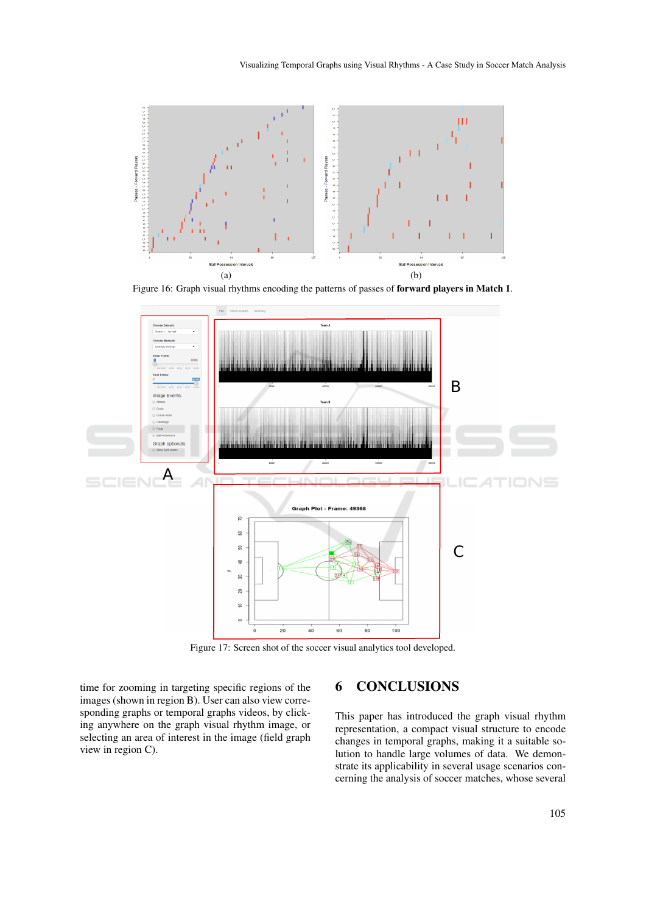

Figure 16: Graph visual rhythms encoding the patterns of passes of forward players in Match 1.



Figure 17: Screen shot of the soccer visual analytics tool developed.

time for zooming in targeting specific regions of the images (shown in region B). User can also view corresponding graphs or temporal graphs videos, by clicking anywhere on the graph visual rhythm image, or selecting an area of interest in the image (field graph view in region C).

# 6 CONCLUSIONS

This paper has introduced the graph visual rhythm representation, a compact visual structure to encode changes in temporal graphs, making it a suitable solution to handle large volumes of data. We demonstrate its applicability in several usage scenarios concerning the analysis of soccer matches, whose several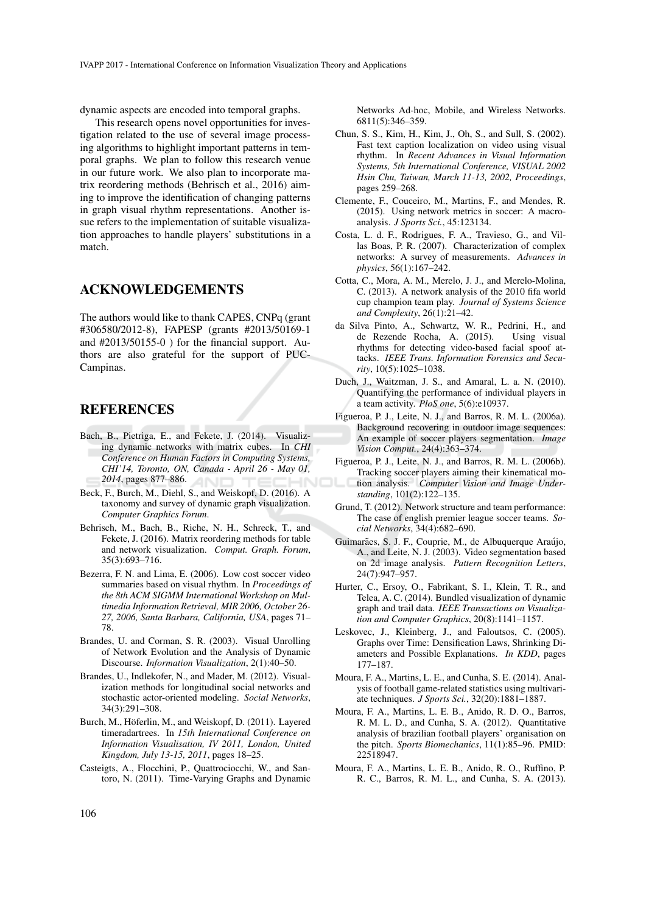dynamic aspects are encoded into temporal graphs.

This research opens novel opportunities for investigation related to the use of several image processing algorithms to highlight important patterns in temporal graphs. We plan to follow this research venue in our future work. We also plan to incorporate matrix reordering methods (Behrisch et al., 2016) aiming to improve the identification of changing patterns in graph visual rhythm representations. Another issue refers to the implementation of suitable visualization approaches to handle players' substitutions in a match.

## ACKNOWLEDGEMENTS

The authors would like to thank CAPES, CNPq (grant #306580/2012-8), FAPESP (grants #2013/50169-1 and #2013/50155-0 ) for the financial support. Authors are also grateful for the support of PUC-Campinas.

## REFERENCES

- Bach, B., Pietriga, E., and Fekete, J. (2014). Visualizing dynamic networks with matrix cubes. In *CHI Conference on Human Factors in Computing Systems, CHI'14, Toronto, ON, Canada - April 26 - May 01, 2014*, pages 877–886.
- Beck, F., Burch, M., Diehl, S., and Weiskopf, D. (2016). A taxonomy and survey of dynamic graph visualization. *Computer Graphics Forum*.
- Behrisch, M., Bach, B., Riche, N. H., Schreck, T., and Fekete, J. (2016). Matrix reordering methods for table and network visualization. *Comput. Graph. Forum*, 35(3):693–716.
- Bezerra, F. N. and Lima, E. (2006). Low cost soccer video summaries based on visual rhythm. In *Proceedings of the 8th ACM SIGMM International Workshop on Multimedia Information Retrieval, MIR 2006, October 26- 27, 2006, Santa Barbara, California, USA*, pages 71– 78.
- Brandes, U. and Corman, S. R. (2003). Visual Unrolling of Network Evolution and the Analysis of Dynamic Discourse. *Information Visualization*, 2(1):40–50.
- Brandes, U., Indlekofer, N., and Mader, M. (2012). Visualization methods for longitudinal social networks and stochastic actor-oriented modeling. *Social Networks*, 34(3):291–308.
- Burch, M., Höferlin, M., and Weiskopf, D. (2011). Layered timeradartrees. In *15th International Conference on Information Visualisation, IV 2011, London, United Kingdom, July 13-15, 2011*, pages 18–25.
- Casteigts, A., Flocchini, P., Quattrociocchi, W., and Santoro, N. (2011). Time-Varying Graphs and Dynamic

Networks Ad-hoc, Mobile, and Wireless Networks. 6811(5):346–359.

- Chun, S. S., Kim, H., Kim, J., Oh, S., and Sull, S. (2002). Fast text caption localization on video using visual rhythm. In *Recent Advances in Visual Information Systems, 5th International Conference, VISUAL 2002 Hsin Chu, Taiwan, March 11-13, 2002, Proceedings*, pages 259–268.
- Clemente, F., Couceiro, M., Martins, F., and Mendes, R. (2015). Using network metrics in soccer: A macroanalysis. *J Sports Sci.*, 45:123134.
- Costa, L. d. F., Rodrigues, F. A., Travieso, G., and Villas Boas, P. R. (2007). Characterization of complex networks: A survey of measurements. *Advances in physics*, 56(1):167–242.
- Cotta, C., Mora, A. M., Merelo, J. J., and Merelo-Molina, C. (2013). A network analysis of the 2010 fifa world cup champion team play. *Journal of Systems Science and Complexity*, 26(1):21–42.
- da Silva Pinto, A., Schwartz, W. R., Pedrini, H., and de Rezende Rocha, A. (2015). Using visual rhythms for detecting video-based facial spoof attacks. *IEEE Trans. Information Forensics and Security*, 10(5):1025–1038.
- Duch, J., Waitzman, J. S., and Amaral, L. a. N. (2010). Quantifying the performance of individual players in a team activity. *PloS one*, 5(6):e10937.
- Figueroa, P. J., Leite, N. J., and Barros, R. M. L. (2006a). Background recovering in outdoor image sequences: An example of soccer players segmentation. *Image Vision Comput.*, 24(4):363–374.
- Figueroa, P. J., Leite, N. J., and Barros, R. M. L. (2006b). Tracking soccer players aiming their kinematical motion analysis. *Computer Vision and Image Understanding*, 101(2):122–135.
- Grund, T. (2012). Network structure and team performance: The case of english premier league soccer teams. *Social Networks*, 34(4):682–690.
- Guimarães, S. J. F., Couprie, M., de Albuquerque Araújo, A., and Leite, N. J. (2003). Video segmentation based on 2d image analysis. *Pattern Recognition Letters*, 24(7):947–957.
- Hurter, C., Ersoy, O., Fabrikant, S. I., Klein, T. R., and Telea, A. C. (2014). Bundled visualization of dynamic graph and trail data. *IEEE Transactions on Visualization and Computer Graphics*, 20(8):1141–1157.
- Leskovec, J., Kleinberg, J., and Faloutsos, C. (2005). Graphs over Time: Densification Laws, Shrinking Diameters and Possible Explanations. *In KDD*, pages 177–187.
- Moura, F. A., Martins, L. E., and Cunha, S. E. (2014). Analysis of football game-related statistics using multivariate techniques. *J Sports Sci.*, 32(20):1881–1887.
- Moura, F. A., Martins, L. E. B., Anido, R. D. O., Barros, R. M. L. D., and Cunha, S. A. (2012). Quantitative analysis of brazilian football players' organisation on the pitch. *Sports Biomechanics*, 11(1):85–96. PMID: 22518947.
- Moura, F. A., Martins, L. E. B., Anido, R. O., Ruffino, P. R. C., Barros, R. M. L., and Cunha, S. A. (2013).